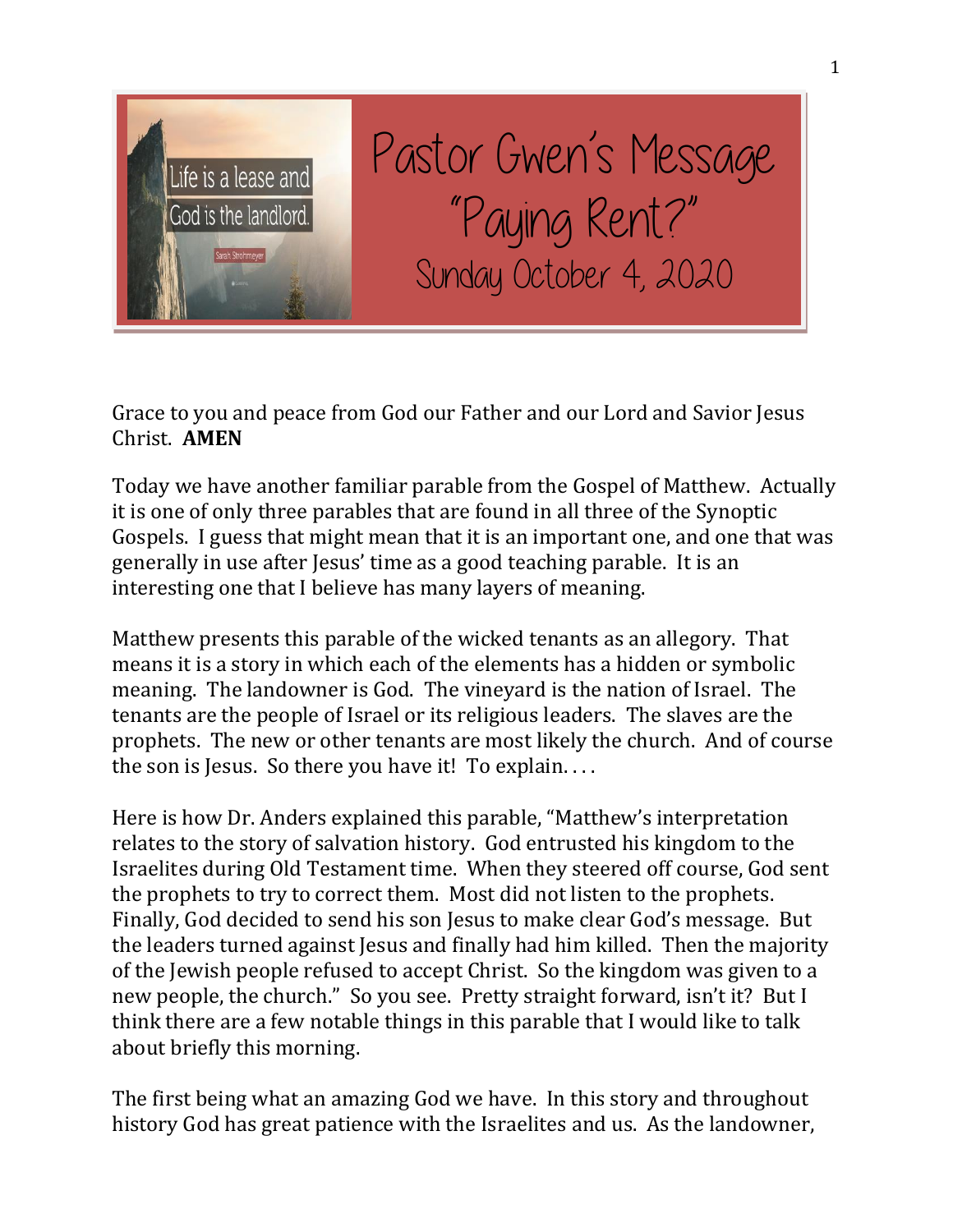

Pastor Gwen's Message "Paying Rent?" Sunday October 4, 2020

Grace to you and peace from God our Father and our Lord and Savior Jesus Christ. **AMEN**

Today we have another familiar parable from the Gospel of Matthew. Actually it is one of only three parables that are found in all three of the Synoptic Gospels. I guess that might mean that it is an important one, and one that was generally in use after Jesus' time as a good teaching parable. It is an interesting one that I believe has many layers of meaning.

Matthew presents this parable of the wicked tenants as an allegory. That means it is a story in which each of the elements has a hidden or symbolic meaning. The landowner is God. The vineyard is the nation of Israel. The tenants are the people of Israel or its religious leaders. The slaves are the prophets. The new or other tenants are most likely the church. And of course the son is Jesus. So there you have it! To explain. . . .

Here is how Dr. Anders explained this parable, "Matthew's interpretation relates to the story of salvation history. God entrusted his kingdom to the Israelites during Old Testament time. When they steered off course, God sent the prophets to try to correct them. Most did not listen to the prophets. Finally, God decided to send his son Jesus to make clear God's message. But the leaders turned against Jesus and finally had him killed. Then the majority of the Jewish people refused to accept Christ. So the kingdom was given to a new people, the church." So you see. Pretty straight forward, isn't it? But I think there are a few notable things in this parable that I would like to talk about briefly this morning.

The first being what an amazing God we have. In this story and throughout history God has great patience with the Israelites and us. As the landowner,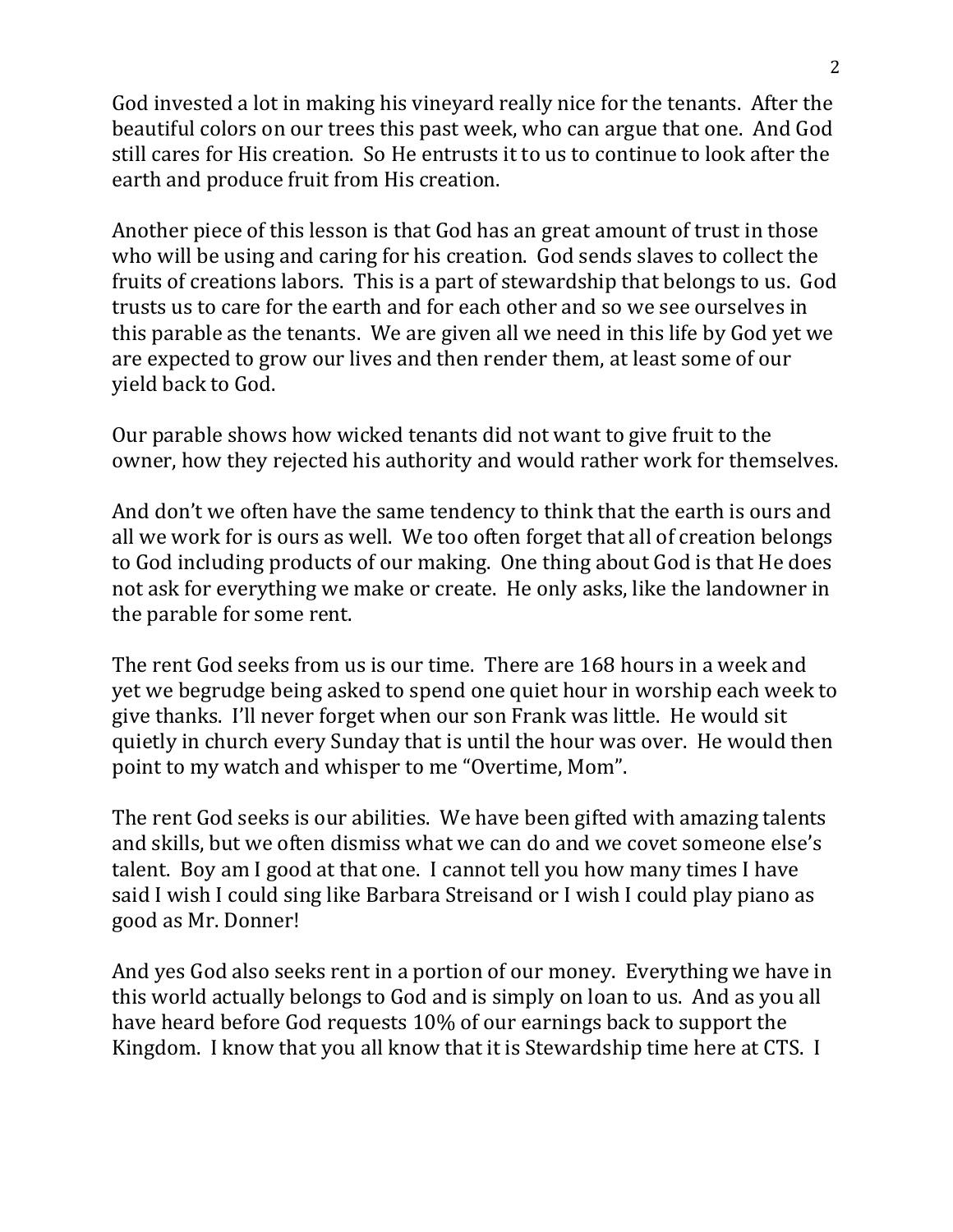God invested a lot in making his vineyard really nice for the tenants. After the beautiful colors on our trees this past week, who can argue that one. And God still cares for His creation. So He entrusts it to us to continue to look after the earth and produce fruit from His creation.

Another piece of this lesson is that God has an great amount of trust in those who will be using and caring for his creation. God sends slaves to collect the fruits of creations labors. This is a part of stewardship that belongs to us. God trusts us to care for the earth and for each other and so we see ourselves in this parable as the tenants. We are given all we need in this life by God yet we are expected to grow our lives and then render them, at least some of our yield back to God.

Our parable shows how wicked tenants did not want to give fruit to the owner, how they rejected his authority and would rather work for themselves.

And don't we often have the same tendency to think that the earth is ours and all we work for is ours as well. We too often forget that all of creation belongs to God including products of our making. One thing about God is that He does not ask for everything we make or create. He only asks, like the landowner in the parable for some rent.

The rent God seeks from us is our time. There are 168 hours in a week and yet we begrudge being asked to spend one quiet hour in worship each week to give thanks. I'll never forget when our son Frank was little. He would sit quietly in church every Sunday that is until the hour was over. He would then point to my watch and whisper to me "Overtime, Mom".

The rent God seeks is our abilities. We have been gifted with amazing talents and skills, but we often dismiss what we can do and we covet someone else's talent. Boy am I good at that one. I cannot tell you how many times I have said I wish I could sing like Barbara Streisand or I wish I could play piano as good as Mr. Donner!

And yes God also seeks rent in a portion of our money. Everything we have in this world actually belongs to God and is simply on loan to us. And as you all have heard before God requests 10% of our earnings back to support the Kingdom. I know that you all know that it is Stewardship time here at CTS. I